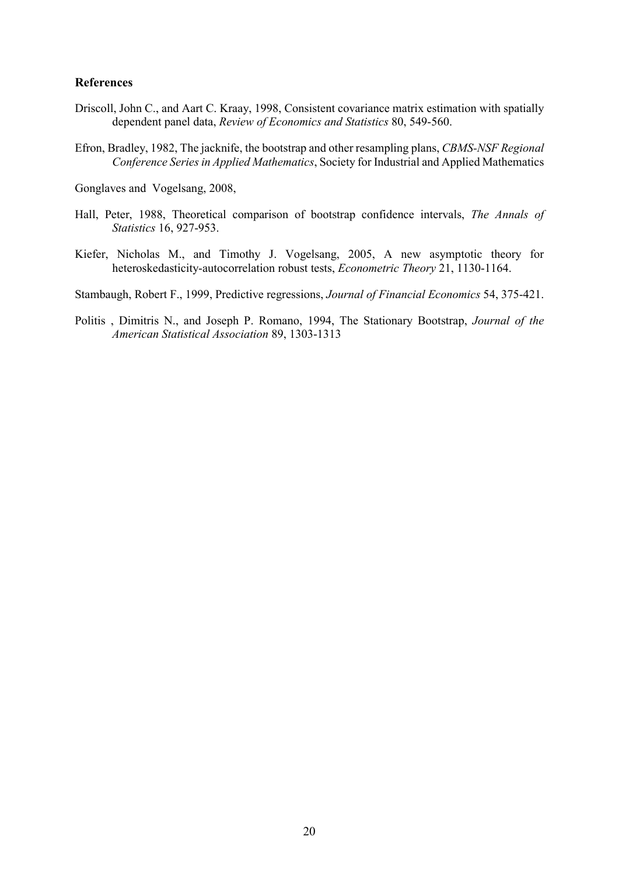## **References**

- Driscoll, John C., and Aart C. Kraay, 1998, Consistent covariance matrix estimation with spatially dependent panel data, *Review of Economics and Statistics* 80, 549-560.
- Efron, Bradley, 1982, The jacknife, the bootstrap and other resampling plans, *CBMS-NSF Regional Conference Series in Applied Mathematics*, Society for Industrial and Applied Mathematics

Gonglaves and Vogelsang, 2008,

- Hall, Peter, 1988, Theoretical comparison of bootstrap confidence intervals, *The Annals of Statistics* 16, 927-953.
- Kiefer, Nicholas M., and Timothy J. Vogelsang, 2005, A new asymptotic theory for heteroskedasticity-autocorrelation robust tests, *Econometric Theory* 21, 1130-1164.

Stambaugh, Robert F., 1999, Predictive regressions, *Journal of Financial Economics* 54, 375-421.

Politis , Dimitris N., and Joseph P. Romano, 1994, The Stationary Bootstrap, *Journal of the American Statistical Association* 89, 1303-1313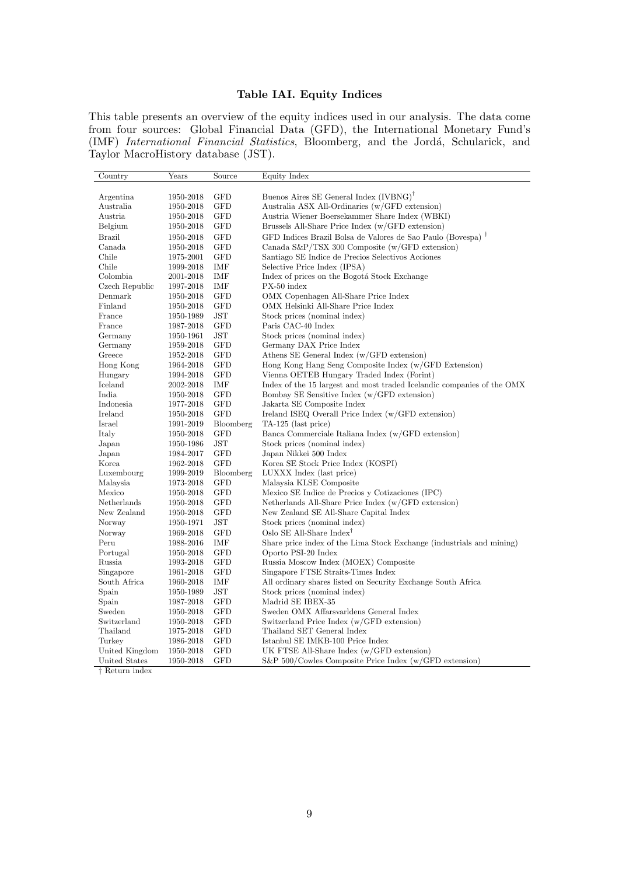## Table IAI. Equity Indices

This table presents an overview of the equity indices used in our analysis. The data come from four sources: Global Financial Data (GFD), the International Monetary Fund's (IMF) International Financial Statistics, Bloomberg, and the Jordá, Schularick, and Taylor MacroHistory database (JST).

| Country        | Years     | Source       | Equity Index                                                            |
|----------------|-----------|--------------|-------------------------------------------------------------------------|
|                |           |              |                                                                         |
| Argentina      | 1950-2018 | <b>GFD</b>   | Buenos Aires SE General Index $(IVBNG)^{\dagger}$                       |
| Australia      | 1950-2018 | <b>GFD</b>   | Australia ASX All-Ordinaries (w/GFD extension)                          |
| Austria        | 1950-2018 | GFD          | Austria Wiener Boersekammer Share Index (WBKI)                          |
| Belgium        | 1950-2018 | <b>GFD</b>   | Brussels All-Share Price Index (w/GFD extension)                        |
| Brazil         | 1950-2018 | GFD          | GFD Indices Brazil Bolsa de Valores de Sao Paulo (Bovespa) <sup>†</sup> |
| Canada         | 1950-2018 | <b>GFD</b>   | Canada $S\&P/TSX$ 300 Composite (w/GFD extension)                       |
| Chile          | 1975-2001 | <b>GFD</b>   | Santiago SE Indice de Precios Selectivos Acciones                       |
| Chile          | 1999-2018 | IMF          | Selective Price Index (IPSA)                                            |
| Colombia       | 2001-2018 | IMF          | Index of prices on the Bogotá Stock Exchange                            |
| Czech Republic | 1997-2018 | IMF          | PX-50 index                                                             |
| Denmark        | 1950-2018 | <b>GFD</b>   | OMX Copenhagen All-Share Price Index                                    |
| Finland        | 1950-2018 | <b>GFD</b>   | OMX Helsinki All-Share Price Index                                      |
| France         | 1950-1989 | JST          | Stock prices (nominal index)                                            |
| France         | 1987-2018 | <b>GFD</b>   | Paris CAC-40 Index                                                      |
| Germany        | 1950-1961 | JST          | Stock prices (nominal index)                                            |
| Germany        | 1959-2018 | <b>GFD</b>   | Germany DAX Price Index                                                 |
| Greece         | 1952-2018 | GFD          | Athens SE General Index (w/GFD extension)                               |
| Hong Kong      | 1964-2018 | <b>GFD</b>   | Hong Kong Hang Seng Composite Index (w/GFD Extension)                   |
| Hungary        | 1994-2018 | <b>GFD</b>   | Vienna OETEB Hungary Traded Index (Forint)                              |
| Iceland        | 2002-2018 | IMF          | Index of the 15 largest and most traded Icelandic companies of the OMX  |
| India          | 1950-2018 | <b>GFD</b>   | Bombay SE Sensitive Index (w/GFD extension)                             |
| Indonesia      | 1977-2018 | GFD          | Jakarta SE Composite Index                                              |
| Ireland        | 1950-2018 | <b>GFD</b>   | Ireland ISEQ Overall Price Index (w/GFD extension)                      |
| Israel         | 1991-2019 | Bloomberg    | TA-125 (last price)                                                     |
| Italy          | 1950-2018 | <b>GFD</b>   | Banca Commerciale Italiana Index (w/GFD extension)                      |
| Japan          | 1950-1986 | JST          | Stock prices (nominal index)                                            |
| Japan          | 1984-2017 | GFD          | Japan Nikkei 500 Index                                                  |
| Korea          | 1962-2018 | <b>GFD</b>   | Korea SE Stock Price Index (KOSPI)                                      |
| Luxembourg     | 1999-2019 | Bloomberg    | LUXXX Index (last price)                                                |
| Malaysia       | 1973-2018 | GFD          | Malaysia KLSE Composite                                                 |
| Mexico         | 1950-2018 | <b>GFD</b>   | Mexico SE Indice de Precios y Cotizaciones (IPC)                        |
| Netherlands    | 1950-2018 | GFD          | Netherlands All-Share Price Index (w/GFD extension)                     |
| New Zealand    | 1950-2018 | <b>GFD</b>   | New Zealand SE All-Share Capital Index                                  |
| Norway         | 1950-1971 | $_{\rm JST}$ | Stock prices (nominal index)                                            |
| Norway         | 1969-2018 | <b>GFD</b>   | Oslo SE All-Share Index <sup>†</sup>                                    |
| Peru           | 1988-2016 | IMF          | Share price index of the Lima Stock Exchange (industrials and mining)   |
| Portugal       | 1950-2018 | <b>GFD</b>   | Oporto PSI-20 Index                                                     |
| Russia         | 1993-2018 | <b>GFD</b>   | Russia Moscow Index (MOEX) Composite                                    |
| Singapore      | 1961-2018 | GFD          | Singapore FTSE Straits-Times Index                                      |
| South Africa   | 1960-2018 | IMF          | All ordinary shares listed on Security Exchange South Africa            |
| Spain          | 1950-1989 | JST          | Stock prices (nominal index)                                            |
| Spain          | 1987-2018 | <b>GFD</b>   | Madrid SE IBEX-35                                                       |
| Sweden         | 1950-2018 | <b>GFD</b>   | Sweden OMX Affarsvarldens General Index                                 |
| Switzerland    | 1950-2018 | GFD          | Switzerland Price Index (w/GFD extension)                               |
| Thailand       | 1975-2018 | <b>GFD</b>   | Thailand SET General Index                                              |
| Turkey         | 1986-2018 | <b>GFD</b>   | Istanbul SE IMKB-100 Price Index                                        |
| United Kingdom | 1950-2018 | <b>GFD</b>   | UK FTSE All-Share Index (w/GFD extension)                               |
| United States  | 1950-2018 | <b>GFD</b>   | S&P 500/Cowles Composite Price Index (w/GFD extension)                  |

† Return index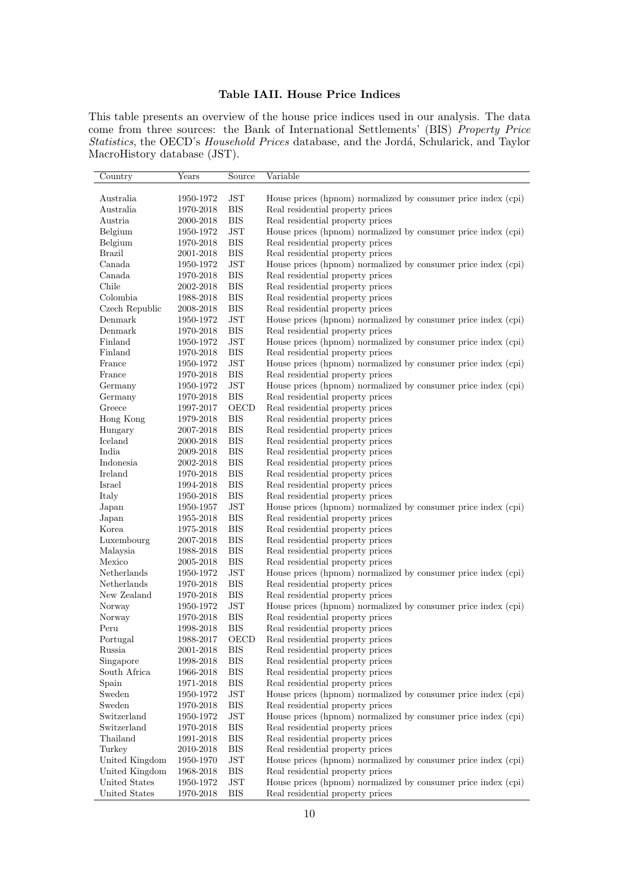## Table IAII. House Price Indices

This table presents an overview of the house price indices used in our analysis. The data come from three sources: the Bank of International Settlements' (BIS) Property Price Statistics, the OECD's Household Prices database, and the Jordá, Schularick, and Taylor MacroHistory database (JST).

| Country             | Years               | Source               | Variable                                                      |
|---------------------|---------------------|----------------------|---------------------------------------------------------------|
|                     |                     |                      |                                                               |
| Australia           | 1950-1972           | <b>JST</b>           | House prices (hpnom) normalized by consumer price index (cpi) |
| Australia           | 1970-2018           | <b>BIS</b>           | Real residential property prices                              |
| Austria             | 2000-2018           | BIS                  | Real residential property prices                              |
| Belgium             | 1950-1972           | <b>JST</b>           | House prices (hpnom) normalized by consumer price index (cpi) |
| Belgium             | 1970-2018           | BIS                  | Real residential property prices                              |
| <b>Brazil</b>       | 2001-2018           | <b>BIS</b>           | Real residential property prices                              |
| Canada              | 1950-1972           | <b>JST</b>           | House prices (hpnom) normalized by consumer price index (cpi) |
| Canada              | $1970 - 2018$       | <b>BIS</b>           | Real residential property prices                              |
| Chile               | 2002-2018           | <b>BIS</b>           | Real residential property prices                              |
| Colombia            | 1988-2018           | <b>BIS</b>           | Real residential property prices                              |
| Czech Republic      | 2008-2018           | <b>BIS</b>           | Real residential property prices                              |
| Denmark             | 1950-1972           | <b>JST</b>           | House prices (hpnom) normalized by consumer price index (cpi) |
| Denmark             | 1970-2018           | <b>BIS</b>           | Real residential property prices                              |
| Finland             | 1950-1972           | JST                  | House prices (hpnom) normalized by consumer price index (cpi) |
| Finland             | 1970-2018           | <b>BIS</b>           | Real residential property prices                              |
| France              | 1950-1972           | <b>JST</b>           | House prices (hpnom) normalized by consumer price index (cpi) |
| France              | 1970-2018           | <b>BIS</b>           | Real residential property prices                              |
| Germany             | 1950-1972           | JST                  | House prices (hpnom) normalized by consumer price index (cpi) |
| Germany             | 1970-2018           | <b>BIS</b>           | Real residential property prices                              |
| Greece              | 1997-2017           | OECD                 | Real residential property prices                              |
| Hong Kong           | 1979-2018           | <b>BIS</b>           | Real residential property prices                              |
| Hungary             | 2007-2018           | <b>BIS</b>           | Real residential property prices                              |
| Iceland             | 2000-2018           | <b>BIS</b>           | Real residential property prices                              |
| India               | 2009-2018           | <b>BIS</b>           | Real residential property prices                              |
| Indonesia           | $2002 - 2018$       | <b>BIS</b>           | Real residential property prices                              |
| Ireland             | 1970-2018           | <b>BIS</b>           | Real residential property prices                              |
| Israel              | 1994-2018           | <b>BIS</b>           | Real residential property prices                              |
| Italy               | $1950 - 2018$       | <b>BIS</b>           | Real residential property prices                              |
| Japan               | 1950-1957           | <b>JST</b>           | House prices (hpnom) normalized by consumer price index (cpi) |
| Japan               | 1955-2018           | <b>BIS</b>           | Real residential property prices                              |
| Korea               | 1975-2018           | BIS                  | Real residential property prices                              |
| Luxembourg          | $2007 - 2018$       | <b>BIS</b>           | Real residential property prices                              |
| Malaysia            | $1988 - 2018$       | BIS                  | Real residential property prices                              |
| Mexico              | 2005-2018           | <b>BIS</b>           | Real residential property prices                              |
| Netherlands         | 1950-1972           | <b>JST</b>           | House prices (hpnom) normalized by consumer price index (cpi) |
| ${\bf Netherlands}$ | $1970\hbox{-} 2018$ | <b>BIS</b>           | Real residential property prices                              |
| New Zealand         | 1970-2018           | BIS                  | Real residential property prices                              |
| Norway              | 1950-1972           | <b>JST</b>           | House prices (hpnom) normalized by consumer price index (cpi) |
| Norway              | 1970-2018           | <b>BIS</b>           | Real residential property prices                              |
| Peru                | 1998-2018           | <b>BIS</b>           | Real residential property prices                              |
| Portugal            | 1988-2017           | OECD                 | Real residential property prices                              |
| Russia              | 2001-2018           | <b>BIS</b>           | Real residential property prices                              |
| Singapore           | 1998-2018           | <b>BIS</b>           | Real residential property prices                              |
| South Africa        | 1966-2018           | <b>BIS</b>           | Real residential property prices                              |
| Spain               | 1971-2018           | <b>BIS</b>           | Real residential property prices                              |
| Sweden              | 1950-1972           | JST                  | House prices (hpnom) normalized by consumer price index (cpi) |
| Sweden              | $1970\hbox{-} 2018$ | <b>BIS</b>           | Real residential property prices                              |
| Switzerland         | 1950-1972           | $\operatorname{JST}$ | House prices (hpnom) normalized by consumer price index (cpi) |
| Switzerland         | $1970\hbox{-} 2018$ | <b>BIS</b>           | Real residential property prices                              |
| Thailand            | 1991-2018           | <b>BIS</b>           | Real residential property prices                              |
| Turkey              | 2010-2018           | <b>BIS</b>           | Real residential property prices                              |
| United Kingdom      | 1950-1970           | <b>JST</b>           | House prices (hpnom) normalized by consumer price index (cpi) |
| United Kingdom      | $1968 - 2018$       | $_{\rm BIS}$         | Real residential property prices                              |
| United States       | 1950-1972           | JST                  | House prices (hpnom) normalized by consumer price index (cpi) |
| United States       | 1970-2018           | $_{\rm BIS}$         | Real residential property prices                              |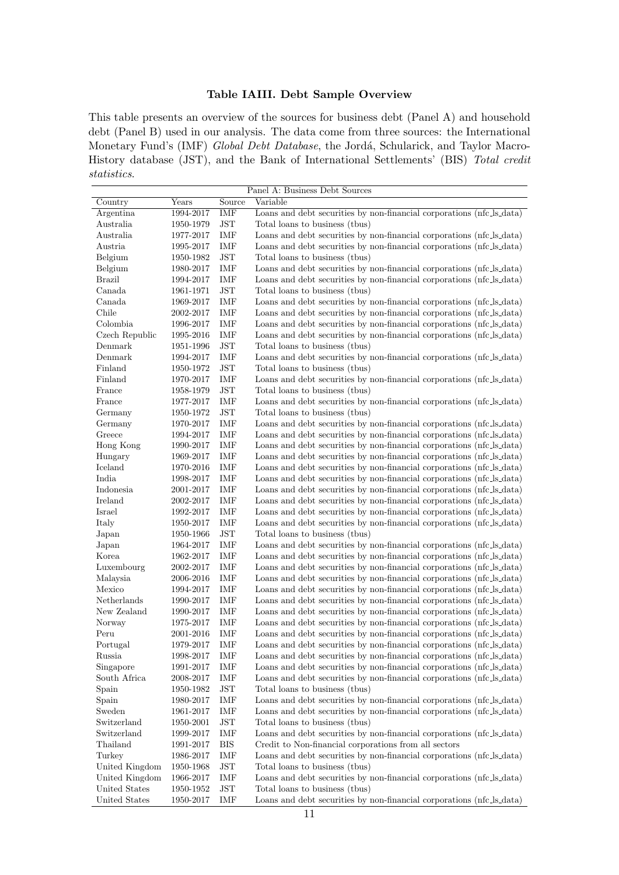## Table IAIII. Debt Sample Overview

This table presents an overview of the sources for business debt (Panel A) and household debt (Panel B) used in our analysis. The data come from three sources: the International Monetary Fund's (IMF) Global Debt Database, the Jordá, Schularick, and Taylor Macro-History database (JST), and the Bank of International Settlements' (BIS) Total credit statistics.

|                                 |                        |                                    | Panel A: Business Debt Sources                                                                                                 |
|---------------------------------|------------------------|------------------------------------|--------------------------------------------------------------------------------------------------------------------------------|
| Country                         | Years                  | Source                             | Variable                                                                                                                       |
| Argentina                       | 1994-2017              | IMF                                | Loans and debt securities by non-financial corporations (nfc_ls_data)                                                          |
| Australia                       | 1950-1979              | <b>JST</b>                         | Total loans to business (thus)                                                                                                 |
| Australia                       | 1977-2017              | IMF                                | Loans and debt securities by non-financial corporations (nfc_ls_data)                                                          |
| Austria                         | 1995-2017              | IMF                                | Loans and debt securities by non-financial corporations (nfc_ls_data)                                                          |
| Belgium                         | 1950-1982              | <b>JST</b>                         | Total loans to business (thus)                                                                                                 |
| Belgium                         | 1980-2017              | IMF                                | Loans and debt securities by non-financial corporations (nfc_ls_data)                                                          |
| <b>Brazil</b>                   | 1994-2017              | IMF                                | Loans and debt securities by non-financial corporations (nfc_ls_data)                                                          |
| Canada                          | 1961-1971              | JST                                | Total loans to business (thus)                                                                                                 |
| Canada                          | 1969-2017              | IMF                                | Loans and debt securities by non-financial corporations (nfc_ls_data)                                                          |
| Chile                           | 2002-2017              | IMF                                | Loans and debt securities by non-financial corporations (nfc_ls_data)                                                          |
| Colombia                        | 1996-2017              | IMF                                | Loans and debt securities by non-financial corporations (nfc_ls_data)                                                          |
| Czech Republic                  | 1995-2016              | IMF                                | Loans and debt securities by non-financial corporations (nfc_ls_data)                                                          |
| Denmark                         | 1951-1996              | JST                                | Total loans to business (thus)                                                                                                 |
| Denmark                         | 1994-2017              | IMF                                | Loans and debt securities by non-financial corporations (nfc_ls_data)                                                          |
| Finland                         | 1950-1972              | JST                                | Total loans to business (thus)                                                                                                 |
| Finland                         | 1970-2017              | IMF                                | Loans and debt securities by non-financial corporations (nfc_ls_data)                                                          |
| France                          | 1958-1979              | JST                                | Total loans to business (thus)                                                                                                 |
| France                          | 1977-2017              | IMF                                | Loans and debt securities by non-financial corporations (nfc_ls_data)                                                          |
| Germany                         | 1950-1972              | <b>JST</b>                         | Total loans to business (thus)                                                                                                 |
| Germany                         | 1970-2017              | IMF                                | Loans and debt securities by non-financial corporations (nfc_ls_data)                                                          |
| Greece                          | 1994-2017              | IMF                                | Loans and debt securities by non-financial corporations (nfc_ls_data)                                                          |
| Hong Kong                       | 1990-2017              | IMF                                | Loans and debt securities by non-financial corporations (nfc_ls_data)                                                          |
| Hungary                         | 1969-2017              | IMF                                | Loans and debt securities by non-financial corporations (nfc_ls_data)                                                          |
| Iceland                         | 1970-2016              | IMF                                | Loans and debt securities by non-financial corporations (nfc_ls_data)                                                          |
| India                           | 1998-2017              | IMF                                | Loans and debt securities by non-financial corporations (nfc_ls_data)                                                          |
| Indonesia                       | 2001-2017              | IMF                                | Loans and debt securities by non-financial corporations (nfc_ls_data)                                                          |
| Ireland                         | 2002-2017              | IMF                                | Loans and debt securities by non-financial corporations (nfc_ls_data)                                                          |
| Israel                          | 1992-2017              | IMF                                | Loans and debt securities by non-financial corporations (nfc_ls_data)                                                          |
| Italy                           | 1950-2017              | IMF                                | Loans and debt securities by non-financial corporations (nfc_ls_data)                                                          |
| Japan                           | 1950-1966              | JST                                | Total loans to business (thus)                                                                                                 |
| Japan                           | 1964-2017              | IMF                                | Loans and debt securities by non-financial corporations (nfc_ls_data)                                                          |
| Korea                           | 1962-2017              | IMF                                | Loans and debt securities by non-financial corporations (nfc_ls_data)                                                          |
| Luxembourg                      | 2002-2017              | IMF                                | Loans and debt securities by non-financial corporations (nfc_ls_data)                                                          |
| Malaysia                        | 2006-2016              | IMF                                | Loans and debt securities by non-financial corporations (nfc_ls_data)                                                          |
| Mexico                          | 1994-2017              | IMF                                | Loans and debt securities by non-financial corporations (nfc ls_data)                                                          |
| Netherlands                     | 1990-2017              | IMF                                | Loans and debt securities by non-financial corporations (nfc_ls_data)                                                          |
| New Zealand                     | 1990-2017              | IMF                                | Loans and debt securities by non-financial corporations (nfc_ls_data)                                                          |
| Norway                          | 1975-2017              | IMF                                | Loans and debt securities by non-financial corporations (nfc_ls_data)                                                          |
| Peru                            | 2001-2016              | IMF                                | Loans and debt securities by non-financial corporations (nfc_ls_data)                                                          |
| Portugal                        | 1979-2017              | IMF                                | Loans and debt securities by non-financial corporations (nfc_ls_data)                                                          |
| Russia                          | 1998-2017              | IMF                                | Loans and debt securities by non-financial corporations (nfc_ls_data)                                                          |
| Singapore                       | 1991-2017              | IMF                                | Loans and debt securities by non-financial corporations (nfc ls data)                                                          |
| South Africa                    | 2008-2017              | IMF                                | Loans and debt securities by non-financial corporations (nfc_ls_data)                                                          |
| Spain                           | $1950\hbox{-} 1982$    | JST                                | Total loans to business (thus)                                                                                                 |
|                                 | 1980-2017              | IMF                                | Loans and debt securities by non-financial corporations (nfc_ls_data)                                                          |
| Spain<br>Sweden                 |                        | IMF                                |                                                                                                                                |
| Switzerland                     | 1961-2017<br>1950-2001 | JST                                | Loans and debt securities by non-financial corporations (nfc_ls_data)<br>Total loans to business (thus)                        |
| Switzerland                     |                        |                                    |                                                                                                                                |
|                                 | 1999-2017              | IMF                                | Loans and debt securities by non-financial corporations (nfc_ls_data)                                                          |
| Thailand<br>Turkey              | 1991-2017              | <b>BIS</b><br>$\operatorname{IMF}$ | Credit to Non-financial corporations from all sectors<br>Loans and debt securities by non-financial corporations (nfc_ls_data) |
|                                 | 1986-2017              |                                    |                                                                                                                                |
| United Kingdom                  | 1950-1968              | JST                                | Total loans to business (thus)                                                                                                 |
| United Kingdom<br>United States | 1966-2017              | IMF<br>JST                         | Loans and debt securities by non-financial corporations (nfc_ls_data)                                                          |
|                                 | 1950-1952              |                                    | Total loans to business (thus)                                                                                                 |
| United States                   | 1950-2017              | IMF                                | Loans and debt securities by non-financial corporations (nfc_ls_data)                                                          |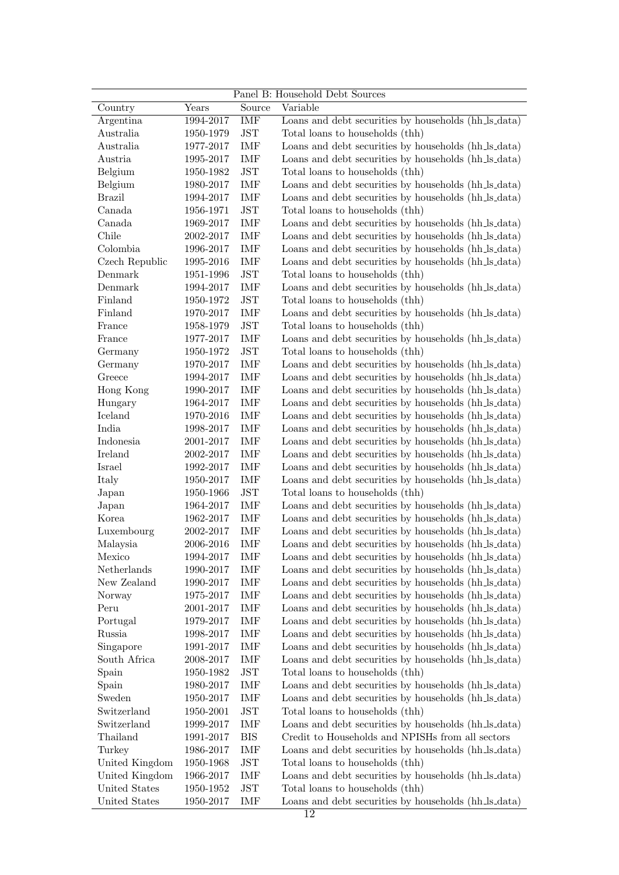|                |           |                      | Panel B: Household Debt Sources                      |
|----------------|-----------|----------------------|------------------------------------------------------|
| Country        | Years     | Source               | Variable                                             |
| Argentina      | 1994-2017 | IMF                  | Loans and debt securities by households (hh_ls_data) |
| Australia      | 1950-1979 | $\operatorname{JST}$ | Total loans to households (thh)                      |
| Australia      | 1977-2017 | IMF                  | Loans and debt securities by households (hh.ls.data) |
| Austria        | 1995-2017 | IMF                  | Loans and debt securities by households (hh_ls_data) |
| Belgium        | 1950-1982 | $\operatorname{JST}$ | Total loans to households (thh)                      |
| Belgium        | 1980-2017 | IMF                  | Loans and debt securities by households (hh.ls.data) |
| <b>Brazil</b>  | 1994-2017 | IMF                  | Loans and debt securities by households (hh_ls_data) |
| Canada         | 1956-1971 | $\operatorname{JST}$ | Total loans to households (thh)                      |
| Canada         | 1969-2017 | IMF                  | Loans and debt securities by households (hh_ls_data) |
| Chile          | 2002-2017 | IMF                  | Loans and debt securities by households (hh_ls_data) |
| Colombia       | 1996-2017 | IMF                  | Loans and debt securities by households (hh_ls_data) |
| Czech Republic | 1995-2016 | IMF                  | Loans and debt securities by households (hh_ls_data) |
| Denmark        | 1951-1996 | <b>JST</b>           | Total loans to households (thh)                      |
| Denmark        | 1994-2017 | IMF                  | Loans and debt securities by households (hh_ls_data) |
| Finland        | 1950-1972 | $\operatorname{JST}$ | Total loans to households (thh)                      |
| Finland        | 1970-2017 | IMF                  | Loans and debt securities by households (hh_ls_data) |
| France         | 1958-1979 | $\operatorname{JST}$ | Total loans to households (thh)                      |
|                |           |                      |                                                      |
| France         | 1977-2017 | IMF                  | Loans and debt securities by households (hh_ls_data) |
| Germany        | 1950-1972 | $\operatorname{JST}$ | Total loans to households (thh)                      |
| Germany        | 1970-2017 | IMF                  | Loans and debt securities by households (hh_ls_data) |
| Greece         | 1994-2017 | IMF                  | Loans and debt securities by households (hh_ls_data) |
| Hong Kong      | 1990-2017 | IMF                  | Loans and debt securities by households (hh_ls_data) |
| Hungary        | 1964-2017 | IMF                  | Loans and debt securities by households (hh_ls_data) |
| Iceland        | 1970-2016 | IMF                  | Loans and debt securities by households (hh_ls_data) |
| India          | 1998-2017 | IMF                  | Loans and debt securities by households (hh_ls_data) |
| Indonesia      | 2001-2017 | IMF                  | Loans and debt securities by households (hh_ls_data) |
| Ireland        | 2002-2017 | IMF                  | Loans and debt securities by households (hh_ls_data) |
| Israel         | 1992-2017 | IMF                  | Loans and debt securities by households (hh_ls_data) |
| Italy          | 1950-2017 | IMF                  | Loans and debt securities by households (hh_ls_data) |
| Japan          | 1950-1966 | $\operatorname{JST}$ | Total loans to households (thh)                      |
| Japan          | 1964-2017 | IMF                  | Loans and debt securities by households (hh_ls_data) |
| Korea          | 1962-2017 | IMF                  | Loans and debt securities by households (hh_ls_data) |
| Luxembourg     | 2002-2017 | IMF                  | Loans and debt securities by households (hh_ls_data) |
| Malaysia       | 2006-2016 | IMF                  | Loans and debt securities by households (hh_ls_data) |
| Mexico         | 1994-2017 | IMF                  | Loans and debt securities by households (hh_ls_data) |
| Netherlands    | 1990-2017 | IMF                  | Loans and debt securities by households (hh_ls_data) |
| New Zealand    | 1990-2017 | IMF                  | Loans and debt securities by households (hh_ls_data) |
| Norway         | 1975-2017 | IMF                  | Loans and debt securities by households (hh.ls.data) |
| Peru           | 2001-2017 | IMF                  | Loans and debt securities by households (hh_ls_data) |
| Portugal       | 1979-2017 | IMF                  | Loans and debt securities by households (hh_ls_data) |
| Russia         | 1998-2017 | IMF                  | Loans and debt securities by households (hh_ls_data) |
| Singapore      | 1991-2017 | IMF                  | Loans and debt securities by households (hh_ls_data) |
| South Africa   | 2008-2017 | IMF                  | Loans and debt securities by households (hh_ls_data) |
| Spain          | 1950-1982 | $\operatorname{JST}$ | Total loans to households (thh)                      |
| Spain          | 1980-2017 | IMF                  | Loans and debt securities by households (hh_ls_data) |
| Sweden         | 1950-2017 | IMF                  | Loans and debt securities by households (hh_ls_data) |
| Switzerland    | 1950-2001 | $\operatorname{JST}$ | Total loans to households (thh)                      |
| Switzerland    | 1999-2017 | IMF                  | Loans and debt securities by households (hh_ls_data) |
| Thailand       | 1991-2017 | $_{\rm BIS}$         | Credit to Households and NPISHs from all sectors     |
| Turkey         | 1986-2017 | IMF                  | Loans and debt securities by households (hh_ls_data) |
| United Kingdom | 1950-1968 | $\operatorname{JST}$ | Total loans to households (thh)                      |
| United Kingdom | 1966-2017 | IMF                  | Loans and debt securities by households (hh_ls_data) |
| United States  | 1950-1952 | <b>JST</b>           | Total loans to households (thh)                      |
| United States  | 1950-2017 | IMF                  | Loans and debt securities by households (hh_ls_data) |
|                |           |                      | 12                                                   |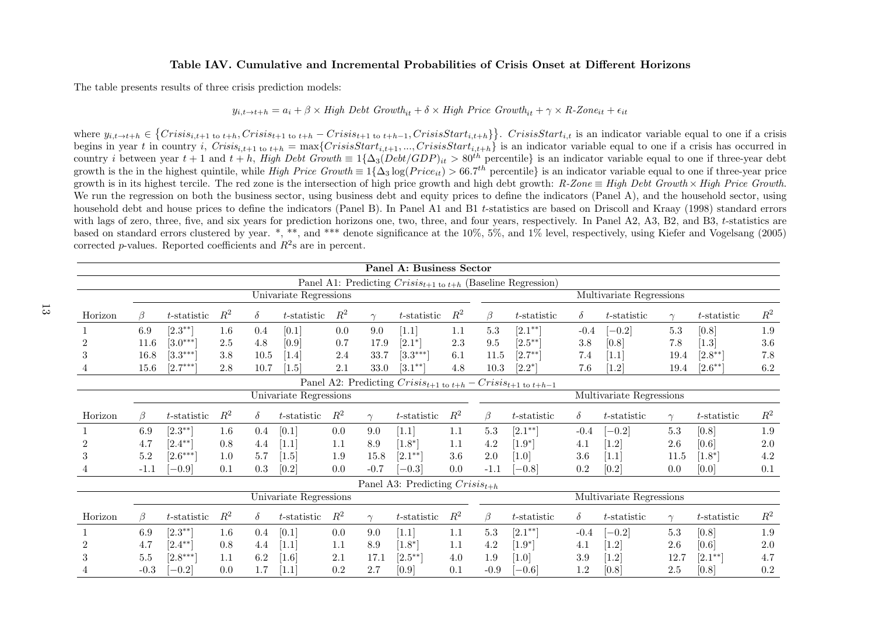#### Table IAV. Cumulative and Incremental Probabilities of Crisis Onset at Different Horizons

The table presents results of three crisis prediction models:

# $y_{i,t\to t+h} = a_i + \beta \times High \; Debt \; Growth_{it} + \delta \times High \; Price \; Growth_{it} + \gamma \times R\text{-}Zone_{it} + \epsilon_{it}$

where  $y_{i,t\to t+h} \in \{Crisis_{i,t+1 \text{ to } t+h}, Crisis_{t+1 \text{ to } t+h} - Crisis_{t+1 \text{ to } t+h-1}, CrisisStart_{i,t+h}\}\}.$  CrisisStart<sub>i,t</sub> is an indicator variable equal to one if a crisis begins in year t in country i,  $Crisis_{i,t+1}$  to  $_{t+h} = \max\{CrisisStart_{i,t+1}, ..., CrisisStart_{i,t+h}\}$  is an indicator variable equal to one if a crisis has occurred in<br>country i between year  $t+1$  and  $t+h$ , High Debt Growth  $\equiv 1\{\Delta_3 (Debt/GDP)_{it} >$ growth is in its highest tercile. The red zone is the intersection of high price growth and high debt growth:  $R$ -Zone  $\equiv$  High Debt Growth  $\times$  High Price Growth. We run the regression on both the business sector, using business debt and equity prices to define the indicators (Panel A), and the household sector, using household debt and house prices to define the indicators (Panel B). In Panel A1 and B1 <sup>t</sup>-statistics are based on Driscoll and Kraay (1998) standard errors with lags of zero, three, five, and six years for prediction horizons one, two, three, and four years, respectively. In Panel A2, A3, B2, and B3, t-statistics are based on standard errors clustered by year. \*, \*\*, and \*\*\* denote significance at the 10%, 5%, and 1% level, respectively, using Kiefer and Vogelsang (2005)corrected p-values. Reported coefficients and  $R^2$ s are in percent.

|         |        |                |         |          |                        |         |          | Panel A: Business Sector                                                 |       |          |                |          |                          |          |                |         |
|---------|--------|----------------|---------|----------|------------------------|---------|----------|--------------------------------------------------------------------------|-------|----------|----------------|----------|--------------------------|----------|----------------|---------|
|         |        |                |         |          |                        |         |          | Panel A1: Predicting $Crisis_{t+1}$ to $t+h$ (Baseline Regression)       |       |          |                |          |                          |          |                |         |
|         |        |                |         |          | Univariate Regressions |         |          |                                                                          |       |          |                |          | Multivariate Regressions |          |                |         |
| Horizon | ß      | $t$ -statistic | $R^2$   | $\delta$ | $t$ -statistic         | $R^2$   | $\gamma$ | $t$ -statistic                                                           | $R^2$ | $\beta$  | $t$ -statistic | $\delta$ | $t$ -statistic           | $\gamma$ | $t$ -statistic | $R^2$   |
|         | 6.9    | $[2.3^{**}]$   | $1.6\,$ | 0.4      | [0.1]                  | $0.0\,$ | 9.0      | $[1.1]$                                                                  | 1.1   | 5.3      | $[2.1^{**}]$   | $-0.4$   | $-0.2$ ]                 | 5.3      | [0.8]          | 1.9     |
|         | 11.6   | $[3.0***]$     | 2.5     | 4.8      | [0.9]                  | 0.7     | 17.9     | $[2.1^*]$                                                                | 2.3   | 9.5      | $[2.5^{**}]$   | 3.8      | [0.8]                    | 7.8      | $[1.3]$        | 3.6     |
| 3       | 16.8   | $[3.3***]$     | 3.8     | $10.5\,$ | [1.4]                  | 2.4     | 33.7     | $[3.3***]$                                                               | 6.1   | $11.5\,$ | $[2.7^{**}]$   | 7.4      | [1.1]                    | 19.4     | $[2.8^{**}]$   | 7.8     |
|         | 15.6   | $[2.7***]$     | 2.8     | 10.7     | [1.5]                  | 2.1     | 33.0     | $[3.1^{**}]$                                                             | 4.8   | 10.3     | $[2.2^*]$      | 7.6      | [1.2]                    | 19.4     | $[2.6^{**}]$   | $6.2\,$ |
|         |        |                |         |          |                        |         |          | Panel A2: Predicting $Crisis_{t+1}$ to $t+h$ – $Crisis_{t+1}$ to $t+h-1$ |       |          |                |          |                          |          |                |         |
|         |        |                |         |          | Univariate Regressions |         |          |                                                                          |       |          |                |          | Multivariate Regressions |          |                |         |
| Horizon | B      | $t$ -statistic | $R^2$   | $\delta$ | $t$ -statistic         | $R^2$   | $\gamma$ | $t$ -statistic                                                           | $R^2$ | $\beta$  | t-statistic    | $\delta$ | $t$ -statistic           | $\gamma$ | t-statistic    | $R^2$   |
|         | 6.9    | $[2.3^{**}]$   | $1.6\,$ | 0.4      | [0.1]                  | 0.0     | 9.0      | [1.1]                                                                    | 1.1   | 5.3      | $[2.1^{**}]$   | $-0.4$   | $[-0.2]$                 | 5.3      | [0.8]          | 1.9     |
|         | 4.7    | $[2.4^{**}]$   | 0.8     | 4.4      | [1.1]                  | 1.1     | 8.9      | $[1.8^*]$                                                                | 1.1   | 4.2      | $[1.9*]$       | 4.1      | [1.2]                    | $2.6\,$  | [0.6]          | $2.0\,$ |
| 3       | 5.2    | $[2.6***]$     | 1.0     | 5.7      | $[1.5]$                | 1.9     | 15.8     | $[2.1^{**}]$                                                             | 3.6   | 2.0      | [1.0]          | 3.6      | [1.1]                    | 11.5     | $[1.8^*]$      | 4.2     |
|         | $-1.1$ | $-0.9$         | 0.1     | 0.3      | [0.2]                  | 0.0     | $-0.7$   | $-0.3$                                                                   | 0.0   | $-1.1$   | $-0.8$         | 0.2      | [0.2]                    | 0.0      | [0.0]          | 0.1     |
|         |        |                |         |          |                        |         |          | Panel A3: Predicting $Crisis_{t+h}$                                      |       |          |                |          |                          |          |                |         |
|         |        |                |         |          | Univariate Regressions |         |          |                                                                          |       |          |                |          | Multivariate Regressions |          |                |         |
| Horizon | B      | $t$ -statistic | $R^2$   | $\delta$ | $t$ -statistic         | $R^2$   | $\gamma$ | $t$ -statistic                                                           | $R^2$ | $\beta$  | $t$ -statistic | $\delta$ | $t$ -statistic           | $\gamma$ | $t$ -statistic | $R^2$   |
|         | 6.9    | $[2.3^{**}]$   | $1.6\,$ | 0.4      | [0.1]                  | 0.0     | 9.0      | [1.1]                                                                    | 1.1   | 5.3      | $[2.1^{**}]$   | $-0.4$   | $-0.2$ ]                 | 5.3      | [0.8]          | 1.9     |
|         | 4.7    | $[2.4***]$     | 0.8     | 4.4      | $[1.1]$                | 1.1     | 8.9      | [1.8]                                                                    | 1.1   | 4.2      | $[1.9*]$       | 4.1      | [1.2]                    | $2.6\,$  | [0.6]          | $2.0\,$ |
| 3       | 5.5    | $[2.8***]$     | 1.1     | 6.2      | [1.6]                  | 2.1     | 17.1     | $[2.5^{**}]$                                                             | 4.0   | 1.9      | [1.0]          | 3.9      | [1.2]                    | 12.7     | $[2.1^{**}]$   | 4.7     |
|         | $-0.3$ | $-0.2$         | 0.0     | 1.7      | $[1.1]$                | 0.2     | 2.7      | [0.9]                                                                    | 0.1   | $-0.9$   | $-0.6$         | 1.2      | [0.8]                    | 2.5      | [0.8]          | 0.2     |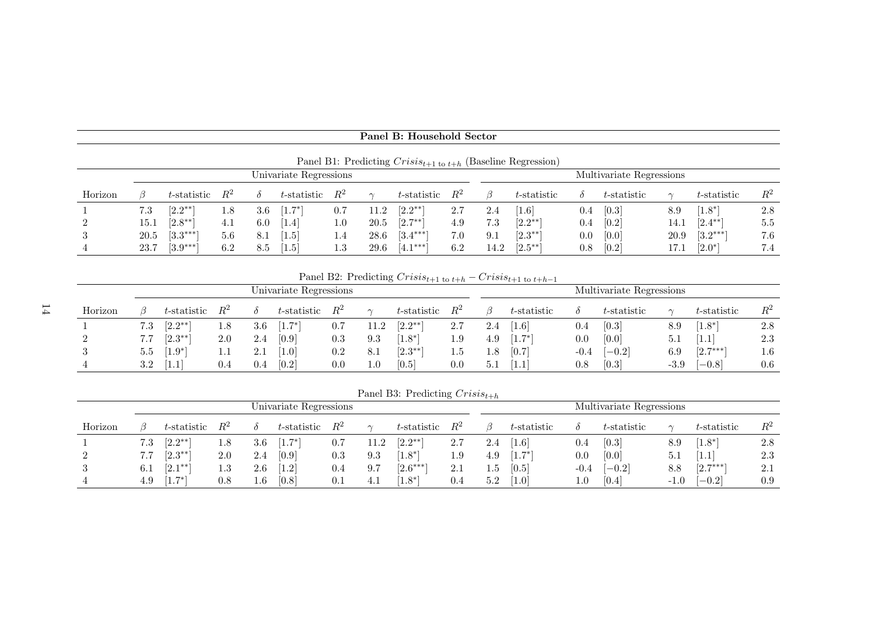|                | Panel B1: Predicting $Crisis_{t+1 \text{ to } t+h}$ (Baseline Regression) |                |     |     |                        |         |      |                        |       |      |                  |     |                          |      |              |       |
|----------------|---------------------------------------------------------------------------|----------------|-----|-----|------------------------|---------|------|------------------------|-------|------|------------------|-----|--------------------------|------|--------------|-------|
|                |                                                                           |                |     |     | Univariate Regressions |         |      |                        |       |      |                  |     | Multivariate Regressions |      |              |       |
| Horizon        |                                                                           | $t$ -statistic |     |     | $t$ -statistic         | $R^2$   |      | $t$ -statistic         | $R^2$ |      | $t$ -statistic   |     | $t$ -statistic           |      | t-statistic  | $R^2$ |
|                | 7.3                                                                       | $[2.2^{**}]$   | 1.8 | 3.6 | $1.7^{*}$              | 0.7     | 11.2 | $[2.2^{**}]$           | 2.7   | 2.4  | 1.6 <sup>1</sup> | 0.4 | [0.3]                    | 8.9  | $1.8*$       | 2.8   |
| $\overline{2}$ | 15.1                                                                      | $[2.8^{**}]$   | 4.1 | 6.0 | $\left[1.4\right]$     | $1.0\,$ | 20.5 | $[2.7^{**}]$           | 4.9   | 7.3  | $[2.2^{**}]$     | 0.4 | [0.2]                    | 14.1 | $[2.4^{**}]$ | 5.5   |
| 3              | 20.5                                                                      | $[3.3***]$     | 5.6 | 8.1 | (1.5)                  | 1.4     | 28.6 | $[3.4***]$             | 7.0   | 9.1  | $[2.3***]$       | 0.0 | [0.0]                    | 20.9 | $[3.2***]$   | 7.6   |
| 4              | 23.7                                                                      | $[3.9***]$     | 6.2 | 8.5 | [1.5]                  | $1.3\,$ | 29.6 | $ 4.1***$ <sup>1</sup> | 6.2   | 14.2 | $[2.5^{**}]$     | 0.8 | [0.2]                    | 17.1 | $[2.0^*]$    | 7.4   |

Panel B: Household Sector

Panel B2: Predicting  $Crisis_{t+1 \text{ to } t+h} - Crisis_{t+1 \text{ to } t+h-1}$ 

|         |                  |              |         |     | Univariate Regressions |          |           |                |                   |      |                       |         | Multivariate Regressions |        |             |         |
|---------|------------------|--------------|---------|-----|------------------------|----------|-----------|----------------|-------------------|------|-----------------------|---------|--------------------------|--------|-------------|---------|
| Horizon |                  | t-statistic  | $R^2$   |     | $t$ -statistic         | $R^2$    |           | $t$ -statistic | $R^2$             |      | $t$ -statistic        |         | $t$ -statistic           | $\sim$ | t-statistic | $\,R^2$ |
|         | 7.3              | $[2.2^{**}]$ | 1.8     | 3.6 | $1.7^{*}$              | 0.7      | ാ<br>11.4 | $[2.2^{**}]$   | 2.7               | 2.4  | $\lfloor 1.6 \rfloor$ | $0.4\,$ | [0.3]                    | 8.9    | $1.8*$      | 2.8     |
|         | 7.7              | $[2.3^{**}]$ | 2.0     | 2.4 | [0.9]                  | $_{0.3}$ | 9.3       | $.1.8^{*1}$    | $^{\circ}$<br>1.J | 4.9  | $1.7^{*1}$            | 0.0     | [0.0]                    | 5.1    | 1.1         | 2.3     |
|         | $5.5\phantom{0}$ | $1.9^{*}$    | $1.1\,$ | 2.1 | [1.0]                  | $0.2\,$  | 8.1       | $[2.3^{**}]$   | ⊥.∪               | 1.8  | [0.7]                 | $-0.4$  | $[-0.2]$                 | 6.9    | $[2.7***]$  | $1.6\,$ |
|         | 3.2              | 1 L . L      | 0.4     | 0.4 | [0.2]                  | $_{0.0}$ | $1.0\,$   | [0.5]          | $0.0\,$           | -5.1 | $ 1.1\>$              | $0.8\,$ | [0.3]                    | $-3.9$ | $(-0.8)$    | $0.6\,$ |

Panel B3: Predicting  $Crisis_{t+h}$ 

|                |         |                |         |         | Univariate Regressions |         |      |             |       |     |                 |          | Multivariate Regressions |            |             |         |
|----------------|---------|----------------|---------|---------|------------------------|---------|------|-------------|-------|-----|-----------------|----------|--------------------------|------------|-------------|---------|
| Horizon        |         | $t$ -statistic | $R^2$   |         | $t$ -statistic         | $R^2$   |      | t-statistic | $R^2$ |     | $t$ -statistic  |          | t-statistic              | $\sim$     | t-statistic | $\,R^2$ |
|                | 7.3     | $[2.2^{**}]$   | 1.8     | 3.6     | $7*$<br>$  \cdot  $    | $0.7\,$ | 11.2 | $[9.9**]$   | 2.7   | 2.4 | $1.6^{\dagger}$ | 0.4      | [0.3]                    | 8.9        | $.1.8^{*1}$ | 2.8     |
| $\overline{2}$ | 7.7     | $[2.3^{**}]$   | 2.0     | $2.4\,$ | [0.9]                  | 0.3     | 9.3  | $.1.8^{*1}$ | 1.9   | 4.9 | $1.7^{*}$       | $_{0.0}$ | [0.0]                    | 5.1        | 1.1         | 2.3     |
| 3              | $6.1\,$ | $[2.1^{**}]$   | $1.3\,$ | $2.6\,$ | (1.2)                  | 0.4     | 9.7  | $[2.6***]$  | 2.1   | 1.5 | [0.5]           | $-0.4$   | $-0.2$                   | 8.8        | $[2.7***]$  | 2.1     |
| $\overline{4}$ | 4.9     | -7*<br>1 L . I | 0.8     | $1.6\,$ | [0.8]                  | 0.1     | 4.1  | $1.8*$      | 0.4   | 5.2 | 10.1            | $1.0\,$  | [0.4]                    | 1.0<br>- 1 | $(-0.2)$    | 0.9     |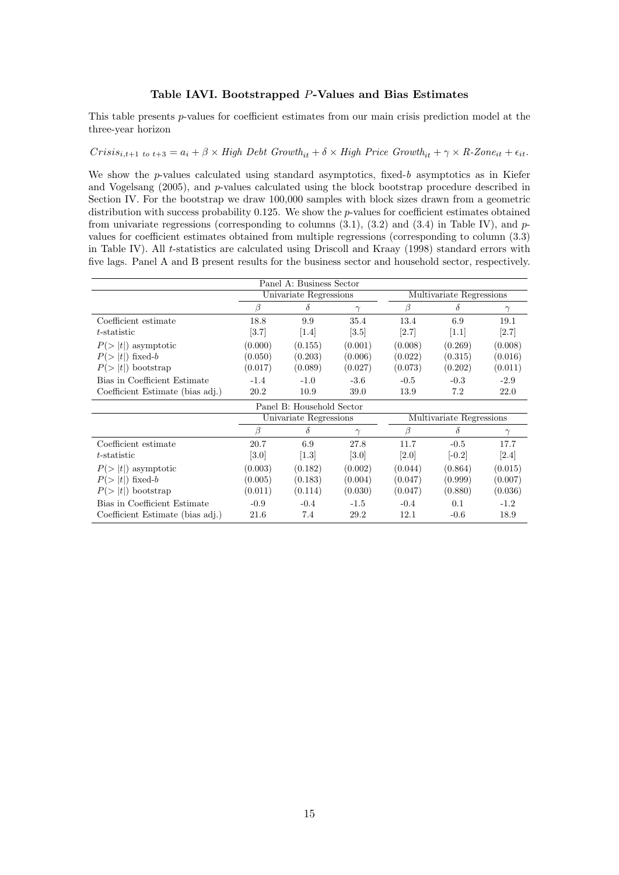#### Table IAVI. Bootstrapped P-Values and Bias Estimates

This table presents *p*-values for coefficient estimates from our main crisis prediction model at the three-year horizon

#### $Crisis_{i,t+1}$  to  $t+3 = a_i + \beta \times High \ Depth$   $Debt \ Growth_{it} + \delta \times High \ Price \ Growth_{it} + \gamma \times R\text{-} zone_{it} + \epsilon_{it}.$

We show the  $p$ -values calculated using standard asymptotics, fixed-b asymptotics as in Kiefer and Vogelsang (2005), and p-values calculated using the block bootstrap procedure described in Section IV. For the bootstrap we draw 100,000 samples with block sizes drawn from a geometric distribution with success probability 0.125. We show the p-values for coefficient estimates obtained from univariate regressions (corresponding to columns  $(3.1)$ ,  $(3.2)$  and  $(3.4)$  in Table IV), and pvalues for coefficient estimates obtained from multiple regressions (corresponding to column (3.3) in Table IV). All t-statistics are calculated using Driscoll and Kraay (1998) standard errors with five lags. Panel A and B present results for the business sector and household sector, respectively.

|                                  |         | Panel A: Business Sector  |          |         |                          |          |
|----------------------------------|---------|---------------------------|----------|---------|--------------------------|----------|
|                                  |         | Univariate Regressions    |          |         | Multivariate Regressions |          |
|                                  | ß       | $\delta$                  | $\gamma$ | β       | δ                        | $\gamma$ |
| Coefficient estimate             | 18.8    | 9.9                       | 35.4     | 13.4    | 6.9                      | 19.1     |
| t-statistic                      | [3.7]   | [1.4]                     | [3.5]    | [2.7]   | [1.1]                    | [2.7]    |
| $P(> t )$ asymptotic             | (0.000) | (0.155)                   | (0.001)  | (0.008) | (0.269)                  | (0.008)  |
| $P(> t )$ fixed-b                | (0.050) | (0.203)                   | (0.006)  | (0.022) | (0.315)                  | (0.016)  |
| $P(> t )$ bootstrap              | (0.017) | (0.089)                   | (0.027)  | (0.073) | (0.202)                  | (0.011)  |
| Bias in Coefficient Estimate     | $-1.4$  | $-1.0$                    | $-3.6$   | $-0.5$  | $-0.3$                   | $-2.9$   |
| Coefficient Estimate (bias adj.) | 20.2    | 10.9                      | 39.0     | 13.9    | 7.2                      | 22.0     |
|                                  |         | Panel B: Household Sector |          |         |                          |          |
|                                  |         | Univariate Regressions    |          |         | Multivariate Regressions |          |
|                                  | ß       | δ                         | $\gamma$ | β       | δ                        | $\gamma$ |
| Coefficient estimate             | 20.7    | 6.9                       | 27.8     | 11.7    | $-0.5$                   | 17.7     |
| t-statistic                      | [3.0]   | [1.3]                     | [3.0]    | [2.0]   | $[-0.2]$                 | [2.4]    |
| $P(> t )$ asymptotic             | (0.003) | (0.182)                   | (0.002)  | (0.044) | (0.864)                  | (0.015)  |
| $P(> t )$ fixed-b                | (0.005) | (0.183)                   | (0.004)  | (0.047) | (0.999)                  | (0.007)  |
| $P(> t )$ bootstrap              | (0.011) | (0.114)                   | (0.030)  | (0.047) | (0.880)                  | (0.036)  |
| Bias in Coefficient Estimate     | $-0.9$  | $-0.4$                    | $-1.5$   | $-0.4$  | 0.1                      | $-1.2$   |
| Coefficient Estimate (bias adj.) | 21.6    | 7.4                       | 29.2     | 12.1    | $-0.6$                   | 18.9     |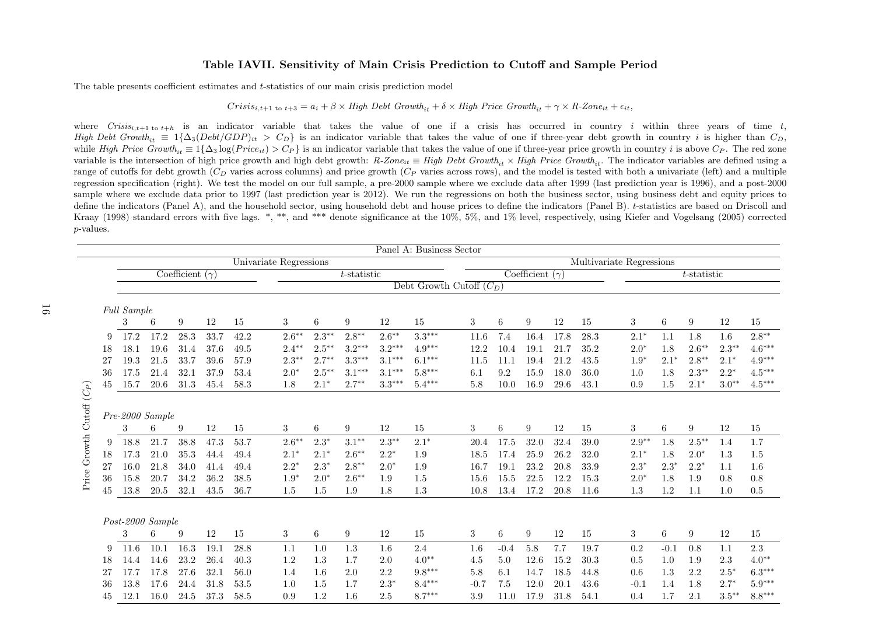#### Table IAVII. Sensitivity of Main Crisis Prediction to Cutoff and Sample Period

The table presents coefficient estimates and <sup>t</sup>-statistics of our main crisis prediction model

# $Crisis_{i,t+1 \text{ to } t+3} = a_i + \beta \times High \ Depth \ Growth_{it} + \delta \times High \ Price \ Growth_{it} + \gamma \times R\text{-}Zone_{it} + \epsilon_{it},$

where  $Criss_{i,t+1}$  to  $t+h$  is an indicator variable that takes the value of one if a crisis has occurred in country i within three years of time t, High Debt Growth<sub>it</sub>  $\equiv 1\{\Delta_3(Debt/GDP)_{it} > C_D\}$  is an indicator variable that takes the value of one if three-year debt growth in country *i* is higher than  $C_D$ , while High Price Growth<sub>it</sub>  $\equiv 1\{\Delta_3 \log (Price_{it}) > C_P\}$  is an indicator variable that takes the value of one if three-year price growth in country *i* is above  $C_P$ . The red zone variable is the intersection of high price growth and high debt growth:  $R\text{-}Zone_{it} \equiv High\ Det\ Growth_{it} \times High\ Price\ Growth_{it}$ . The indicator variables are defined using a range of cutoffs for debt growth  $(C_D$  varies across columns) and price growth  $(C_P$  varies across rows), and the model is tested with both a univariate (left) and a multiple regression specification (right). We test the model on our full sample, <sup>a</sup> pre-<sup>2000</sup> sample where we exclude data after <sup>1999</sup> (last prediction year is 1996), and <sup>a</sup> post-2000 sample where we exclude data prior to <sup>1997</sup> (last prediction year is 2012). We run the regressions on both the business sector, using business debt and equity prices todefine the indicators (Panel A), and the household sector, using household debt and house prices to define the indicators (Panel B). t-statistics are based on Driscoll and Kraay (1998) standard errors with five lags. \*, \*\*, and \*\*\* denote significance at the 10%, 5%, and 1% level, respectively, using Kiefer and Vogelsang (2005) corrected p-values.

|                                              |     |                    |                      |                        |      |      |                        |          |                  |          | Panel A: Business Sector   |        |        |                        |      |      |                          |        |                |          |          |
|----------------------------------------------|-----|--------------------|----------------------|------------------------|------|------|------------------------|----------|------------------|----------|----------------------------|--------|--------|------------------------|------|------|--------------------------|--------|----------------|----------|----------|
|                                              |     |                    |                      |                        |      |      | Univariate Regressions |          |                  |          |                            |        |        |                        |      |      | Multivariate Regressions |        |                |          |          |
|                                              |     |                    |                      | Coefficient $(\gamma)$ |      |      |                        |          | $t$ -statistic   |          |                            |        |        | Coefficient $(\gamma)$ |      |      |                          |        | $t$ -statistic |          |          |
|                                              |     |                    |                      |                        |      |      |                        |          |                  |          | Debt Growth Cutoff $(C_D)$ |        |        |                        |      |      |                          |        |                |          |          |
|                                              |     |                    |                      |                        |      |      |                        |          |                  |          |                            |        |        |                        |      |      |                          |        |                |          |          |
|                                              |     | <b>Full Sample</b> |                      |                        |      |      |                        |          |                  |          |                            |        |        |                        |      |      |                          |        |                |          |          |
|                                              |     | 3                  | 6                    | 9                      | 12   | 15   | 3                      | 6        | 9                | 12       | 15                         | 3      | 6      | 9                      | 12   | 15   | 3                        | 6      | 9              | 12       | 15       |
|                                              | 9   | 17.2               | 17.2                 | 28.3                   | 33.7 | 42.2 | $2.6***$               | $2.3**$  | $2.8**$          | $2.6***$ | $3.3***$                   | 11.6   | 7.4    | 16.4                   | 17.8 | 28.3 | $2.1*$                   | 1.1    | 1.8            | 1.6      | $2.8**$  |
|                                              | 18  | 18.1               | 19.6                 | 31.4                   | 37.6 | 49.5 | $2.4**$                | $2.5***$ | $3.2***$         | $3.2***$ | $4.9***$                   | 12.2   | 10.4   | 19.1                   | 21.7 | 35.2 | $2.0*$                   | 1.8    | $2.6***$       | $2.3**$  | $4.6***$ |
|                                              | 27  | $19.3\,$           | 21.5                 | 33.7                   | 39.6 | 57.9 | $2.3***$               | $2.7**$  | $3.3***$         | $3.1***$ | $6.1***$                   | 11.5   | 11.1   | 19.4                   | 21.2 | 43.5 | $1.9*$                   | $2.1*$ | $2.8**$        | $2.1*$   | $4.9***$ |
|                                              | -36 | 17.5               | 21.4                 | 32.1                   | 37.9 | 53.4 | $2.0*$                 | $2.5***$ | $3.1***$         | $3.1***$ | $5.8***$                   | 6.1    | 9.2    | 15.9                   | 18.0 | 36.0 | 1.0                      | 1.8    | $2.3**$        | $2.2*$   | $4.5***$ |
|                                              | 45  | 15.7               | 20.6                 | 31.3                   | 45.4 | 58.3 | 1.8                    | $2.1*$   | $2.7**$          | $3.3***$ | $5.4***$                   | 5.8    | 10.0   | 16.9                   | 29.6 | 43.1 | 0.9                      | 1.5    | $2.1*$         | $3.0**$  | $4.5***$ |
|                                              |     |                    |                      |                        |      |      |                        |          |                  |          |                            |        |        |                        |      |      |                          |        |                |          |          |
|                                              |     |                    |                      |                        |      |      |                        |          |                  |          |                            |        |        |                        |      |      |                          |        |                |          |          |
| $\ensuremath{\mathrm{Cutoff}}\xspace\,(C_P)$ |     | 3                  | Pre-2000 Sample<br>6 | 9                      | 12   | 15   |                        | 6        | 9                | 12       | 15                         |        | 6      | 9                      | 12   | 15   | 3                        | 6      | 9              | 12       | 15       |
|                                              |     |                    |                      |                        |      |      | 3                      |          |                  |          |                            | 3      |        |                        |      |      |                          |        |                |          |          |
| Price Growth                                 | 9   | 18.8               | 21.7                 | 38.8                   | 47.3 | 53.7 | $2.6***$               | $2.3*$   | $3.1**$          | $2.3***$ | $2.1*$                     | 20.4   | 17.5   | 32.0                   | 32.4 | 39.0 | $2.9**$                  | 1.8    | $2.5***$       | 1.4      | 1.7      |
|                                              | 18  | 17.3               | 21.0                 | 35.3                   | 44.4 | 49.4 | $2.1*$                 | $2.1*$   | $2.6***$         | $2.2*$   | 1.9                        | 18.5   | 17.4   | 25.9                   | 26.2 | 32.0 | $2.1*$                   | 1.8    | $2.0*$         | 1.3      | 1.5      |
|                                              | 27  | 16.0               | 21.8                 | 34.0                   | 41.4 | 49.4 | $2.2*$                 | $2.3*$   | $2.8**$          | $2.0*$   | 1.9                        | 16.7   | 19.1   | 23.2                   | 20.8 | 33.9 | $2.3*$                   | $2.3*$ | $2.2*$         | 1.1      | 1.6      |
|                                              | -36 | 15.8               | 20.7                 | 34.2                   | 36.2 | 38.5 | $1.9*$                 | $2.0*$   | $2.6***$         | 1.9      | 1.5                        | 15.6   | 15.5   | 22.5                   | 12.2 | 15.3 | $2.0*$                   | 1.8    | 1.9            | 0.8      | 0.8      |
|                                              | 45  | 13.8               | 20.5                 | 32.1                   | 43.5 | 36.7 | 1.5                    | 1.5      | 1.9              | 1.8      | 1.3                        | 10.8   | 13.4   | 17.2                   | 20.8 | 11.6 | $1.3\,$                  | 1.2    | 1.1            | 1.0      | 0.5      |
|                                              |     |                    |                      |                        |      |      |                        |          |                  |          |                            |        |        |                        |      |      |                          |        |                |          |          |
|                                              |     |                    | Post-2000 Sample     |                        |      |      |                        |          |                  |          |                            |        |        |                        |      |      |                          |        |                |          |          |
|                                              |     | 3                  | 6                    | 9                      | 12   | 15   | 3                      | 6        | $\boldsymbol{9}$ | 12       | 15                         | 3      | 6      | 9                      | 12   | 15   | 3                        | $6\,$  | 9              | 12       | 15       |
|                                              | 9   | 11.6               | 10.1                 | 16.3                   | 19.1 | 28.8 | 1.1                    | 1.0      | 1.3              | 1.6      | 2.4                        | 1.6    | $-0.4$ | 5.8                    | 7.7  | 19.7 | 0.2                      | $-0.1$ | 0.8            | 1.1      | 2.3      |
|                                              | 18  | 14.4               | 14.6                 | 23.2                   | 26.4 | 40.3 | 1.2                    | 1.3      | 1.7              | 2.0      | $4.0**$                    | 4.5    | 5.0    | 12.6                   | 15.2 | 30.3 | 0.5                      | 1.0    | 1.9            | 2.3      | $4.0**$  |
|                                              | 27  | 17.7               | 17.8                 | 27.6                   | 32.1 | 56.0 | 1.4                    | 1.6      | 2.0              | 2.2      | $9.8***$                   | 5.8    | 6.1    | 14.7                   | 18.5 | 44.8 | 0.6                      | 1.3    | 2.2            | $2.5^*$  | $6.3***$ |
|                                              | 36  | 13.8               | 17.6                 | 24.4                   | 31.8 | 53.5 | 1.0                    | 1.5      | 1.7              | $2.3*$   | $8.4***$                   | $-0.7$ | 7.5    | 12.0                   | 20.1 | 43.6 | $-0.1$                   | 1.4    | 1.8            | $2.7*$   | $5.9***$ |
|                                              | 45  | 12.1               | 16.0                 | 24.5                   | 37.3 | 58.5 | 0.9                    | 1.2      | 1.6              | 2.5      | $8.7***$                   | 3.9    | 11.0   | 17.9                   | 31.8 | 54.1 | 0.4                      | 1.7    | 2.1            | $3.5***$ | $8.8***$ |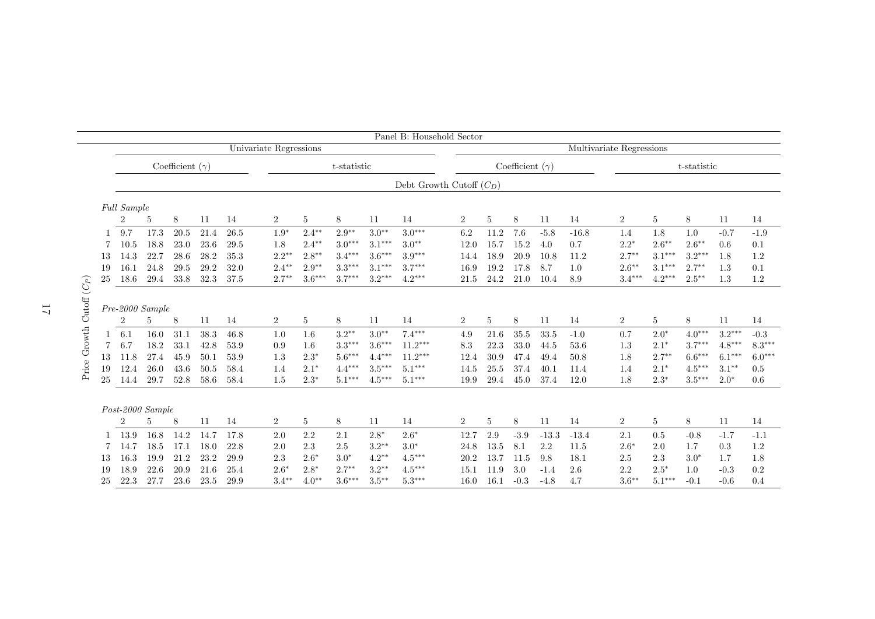|                |    |                  |      |                        |      |                        |                |                 |             |          | Panel B: Household Sector  |                |                |                        |         |                          |                |                 |             |          |          |
|----------------|----|------------------|------|------------------------|------|------------------------|----------------|-----------------|-------------|----------|----------------------------|----------------|----------------|------------------------|---------|--------------------------|----------------|-----------------|-------------|----------|----------|
|                |    |                  |      |                        |      | Univariate Regressions |                |                 |             |          |                            |                |                |                        |         | Multivariate Regressions |                |                 |             |          |          |
|                |    |                  |      | Coefficient $(\gamma)$ |      |                        |                |                 | t-statistic |          |                            |                |                | Coefficient $(\gamma)$ |         |                          |                |                 | t-statistic |          |          |
|                |    |                  |      |                        |      |                        |                |                 |             |          | Debt Growth Cutoff $(C_D)$ |                |                |                        |         |                          |                |                 |             |          |          |
|                |    | Full Sample      |      |                        |      |                        |                |                 |             |          |                            |                |                |                        |         |                          |                |                 |             |          |          |
|                |    | $\overline{2}$   | 5    | 8                      | 11   | 14                     | $\overline{2}$ | $5\phantom{.0}$ | 8           | 11       | 14                         | $\overline{2}$ | $\overline{5}$ | 8                      | 11      | 14                       | $\overline{2}$ | $5\phantom{.0}$ | 8           | 11       | 14       |
|                |    | 9.7              | 17.3 | 20.5                   | 21.4 | 26.5                   | $1.9*$         | $2.4**$         | $2.9**$     | $3.0**$  | $3.0***$                   | 6.2            | 11.2           | 7.6                    | $-5.8$  | $-16.8$                  | 1.4            | 1.8             | 1.0         | $-0.7$   | $-1.9$   |
|                |    | 10.5             | 18.8 | 23.0                   | 23.6 | 29.5                   | 1.8            | $2.4***$        | $3.0***$    | $3.1***$ | $3.0**$                    | 12.0           | 15.7           | 15.2                   | 4.0     | 0.7                      | $2.2*$         | $2.6***$        | $2.6***$    | 0.6      | 0.1      |
|                | 13 | 14.3             | 22.7 | 28.6                   | 28.2 | 35.3                   | $2.2**$        | $2.8**$         | $3.4***$    | $3.6***$ | $3.9***$                   | 14.4           | 18.9           | 20.9                   | 10.8    | 11.2                     | $2.7**$        | $3.1***$        | $3.2***$    | 1.8      | 1.2      |
|                | 19 | 16.1             | 24.8 | 29.5                   | 29.2 | 32.0                   | $2.4***$       | $2.9**$         | $3.3***$    | $3.1***$ | $3.7***$                   | 16.9           | 19.2           | 17.8                   | 8.7     | 1.0                      | $2.6***$       | $3.1***$        | $2.7***$    | 1.3      | 0.1      |
|                | 25 | 18.6             | 29.4 | 33.8                   | 32.3 | 37.5                   | $2.7**$        | $3.6***$        | $3.7***$    | $3.2***$ | $4.2***$                   | 21.5           | 24.2           | 21.0                   | 10.4    | 8.9                      | $3.4***$       | $4.2***$        | $2.5***$    | 1.3      | 1.2      |
| Cutoff $(C_P)$ |    | Pre-2000 Sample  |      |                        |      |                        |                |                 |             |          |                            |                |                |                        |         |                          |                |                 |             |          |          |
|                |    | $\overline{2}$   | 5    | 8                      | 11   | 14                     | $\overline{2}$ | $\overline{5}$  | 8           | 11       | 14                         | $\overline{2}$ | 5              | 8                      | 11      | 14                       | $\overline{2}$ | 5               | 8           | 11       | 14       |
| Growth         |    | 6.1              | 16.0 | 31.1                   | 38.3 | 46.8                   | 1.0            | 1.6             | $3.2**$     | $3.0**$  | $7.4***$                   | 4.9            | 21.6           | 35.5                   | 33.5    | $-1.0$                   | 0.7            | $2.0*$          | $4.0***$    | $3.2***$ | $-0.3$   |
|                |    | 6.7              | 18.2 | 33.1                   | 42.8 | 53.9                   | 0.9            | 1.6             | $3.3***$    | $3.6***$ | $11.2***$                  | 8.3            | 22.3           | 33.0                   | 44.5    | 53.6                     | 1.3            | $2.1*$          | $3.7***$    | $4.8***$ | $8.3***$ |
|                | 13 | 11.8             | 27.4 | 45.9                   | 50.1 | 53.9                   | 1.3            | $2.3*$          | $5.6***$    | $4.4***$ | $11.2***$                  | 12.4           | 30.9           | 47.4                   | 49.4    | 50.8                     | 1.8            | $2.7**$         | $6.6***$    | $6.1***$ | $6.0***$ |
| Price          | 19 | 12.4             | 26.0 | 43.6                   | 50.5 | 58.4                   | 1.4            | $2.1*$          | $4.4***$    | $3.5***$ | $5.1***$                   | 14.5           | 25.5           | 37.4                   | 40.1    | 11.4                     | 1.4            | $2.1*$          | $4.5***$    | $3.1***$ | 0.5      |
|                | 25 | 14.4             | 29.7 | 52.8                   | 58.6 | 58.4                   | 1.5            | $2.3^\ast$      | $5.1***$    | $4.5***$ | $5.1***$                   | 19.9           | 29.4           | 45.0                   | 37.4    | 12.0                     | 1.8            | $2.3*$          | $3.5***$    | $2.0*$   | 0.6      |
|                |    |                  |      |                        |      |                        |                |                 |             |          |                            |                |                |                        |         |                          |                |                 |             |          |          |
|                |    | Post-2000 Sample |      |                        |      |                        |                |                 |             |          |                            |                |                |                        |         |                          |                |                 |             |          |          |
|                |    | $\overline{2}$   | 5    | 8                      | 11   | 14                     | $\overline{2}$ | $5\phantom{.0}$ | 8           | 11       | 14                         | $\overline{2}$ | 5              | 8                      | 11      | 14                       | $\overline{2}$ | 5               | 8           | 11       | 14       |
|                |    | 13.9             | 16.8 | 14.2                   | 14.7 | 17.8                   | 2.0            | 2.2             | 2.1         | $2.8*$   | $2.6*$                     | 12.7           | 2.9            | $-3.9$                 | $-13.3$ | $-13.4$                  | 2.1            | 0.5             | $-0.8$      | $-1.7$   | $-1.1$   |
|                |    | 14.7             | 18.5 | 17.1                   | 18.0 | 22.8                   | 2.0            | 2.3             | 2.5         | $3.2**$  | $3.0*$                     | 24.8           | 13.5           | 8.1                    | 2.2     | 11.5                     | $2.6*$         | 2.0             | 1.7         | 0.3      | 1.2      |
|                | 13 | 16.3             | 19.9 | 21.2                   | 23.2 | 29.9                   | 2.3            | $2.6*$          | $3.0*$      | $4.2**$  | $4.5***$                   | 20.2           | 13.7           | 11.5                   | 9.8     | 18.1                     | 2.5            | 2.3             | $3.0*$      | 1.7      | 1.8      |
|                | 19 | 18.9             | 22.6 | 20.9                   | 21.6 | 25.4                   | $2.6*$         | $2.8*$          | $2.7***$    | $3.2**$  | $4.5***$                   | 15.1           | 11.9           | 3.0                    | $-1.4$  | 2.6                      | 2.2            | $2.5*$          | 1.0         | $-0.3$   | 0.2      |
|                | 25 | 22.3             | 27.7 | 23.6                   | 23.5 | 29.9                   | $3.4**$        | $4.0**$         | $3.6***$    | $3.5***$ | $5.3***$                   | 16.0           | 16.1           | $-0.3$                 | $-4.8$  | 4.7                      | $3.6***$       | $5.1***$        | $-0.1$      | $-0.6$   | 0.4      |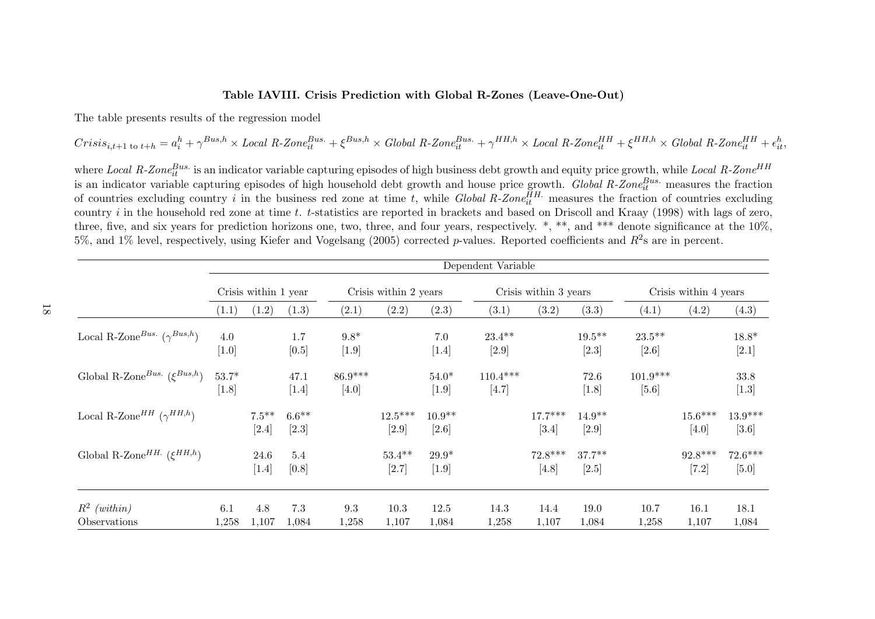## Table IAVIII. Crisis Prediction with Global R-Zones (Leave-One-Out)

The table presents results of the regression model

$$
Crisis_{i,t+1 \text{ to } t+h} = a_i^h + \gamma^{Bus,h} \times Local \ R\text{-}Zone_{it}^{Bus.} + \xi^{Bus,h} \times Global \ R\text{-}Zone_{it}^{Bus.} + \gamma^{HH,h} \times Local \ R\text{-}Zone_{it}^{HH} + \xi^{HH,h} \times Global \ R\text{-}Zone_{it}^{HH} + \epsilon_{it}^h
$$

where Local R-Zone $^{Bus.}_{it}$  is an indicator variable capturing episodes of high business debt growth and equity price growth, while Local R-Zone<sup>HH</sup> is an indicator variable capturing episodes of high household debt growth and house price growth. *Global R-Zone*<sup>*Bus*</sup> measures the fraction<br>of countries excluding country i in the business red zone at time t, while *Gl* country  $i$  in the household red zone at time  $t$ .  $t$ -statistics are reported in brackets and based on Driscoll and Kraay (1998) with lags of zero, three, five, and six years for prediction horizons one, two, three, and four years, respectively.  $*, **$ , and  $***$  denote significance at the 10%, 5%, and 1% level, respectively, using Kiefer and Vogelsang (2005) corrected p-values. Reported coefficients and  $R^2$ s are in percent.

|                                                   |                    |                      |                    |                    |                       |                     | Dependent Variable    |                       |                      |                       |                       |                      |
|---------------------------------------------------|--------------------|----------------------|--------------------|--------------------|-----------------------|---------------------|-----------------------|-----------------------|----------------------|-----------------------|-----------------------|----------------------|
|                                                   |                    | Crisis within 1 year |                    |                    | Crisis within 2 years |                     |                       | Crisis within 3 years |                      |                       | Crisis within 4 years |                      |
|                                                   | (1.1)              | (1.2)                | (1.3)              | (2.1)              | (2.2)                 | (2.3)               | (3.1)                 | (3.2)                 | (3.3)                | (4.1)                 | (4.2)                 | (4.3)                |
| Local R-Zone <sup>Bus.</sup> ( $\gamma^{Bus,h}$ ) | 4.0<br>$[1.0]$     |                      | 1.7<br>$[0.5]$     | $9.8*$<br>$[1.9]$  |                       | 7.0<br>$[1.4]$      | $23.4**$<br>$[2.9]$   |                       | $19.5***$<br>$[2.3]$ | $23.5***$<br>$[2.6]$  |                       | $18.8*$<br>$[2.1]$   |
| Global R-Zone $^{Bus.}$ $(\xi^{Bus,h})$           | $53.7*$<br>$[1.8]$ |                      | 47.1<br>$[1.4]$    | $86.9***$<br>[4.0] |                       | $54.0*$<br>$[1.9]$  | $110.4***$<br>$[4.7]$ |                       | 72.6<br>$[1.8]$      | $101.9***$<br>$[5.6]$ |                       | $33.8\,$<br>$[1.3]$  |
| Local R-Zone <sup>HH</sup> ( $\gamma^{HH,h}$ )    |                    | $7.5***$<br>$[2.4]$  | $6.6**$<br>$[2.3]$ |                    | $12.5***$<br>$[2.9]$  | $10.9**$<br>$[2.6]$ |                       | $17.7***$<br>$[3.4]$  | $14.9**$<br>$[2.9]$  |                       | $15.6***$<br>[4.0]    | $13.9***$<br>$[3.6]$ |
| Global R-Zone <sup>HH.</sup> ( $\xi^{HH,h}$ )     |                    | 24.6<br>$[1.4]$      | 5.4<br>[0.8]       |                    | $53.4**$<br>$[2.7]$   | $29.9*$<br>$[1.9]$  |                       | $72.8***$<br>$[4.8]$  | $37.7**$<br>$[2.5]$  |                       | $92.8***$<br>$[7.2]$  | $72.6***$<br>$[5.0]$ |
| $R^2$ (within)<br>Observations                    | 6.1<br>1,258       | 4.8<br>1,107         | 7.3<br>1,084       | $\rm 9.3$<br>1,258 | 10.3<br>1,107         | 12.5<br>1,084       | 14.3<br>1,258         | 14.4<br>1,107         | 19.0<br>1,084        | 10.7<br>1,258         | 16.1<br>1,107         | 18.1<br>1,084        |